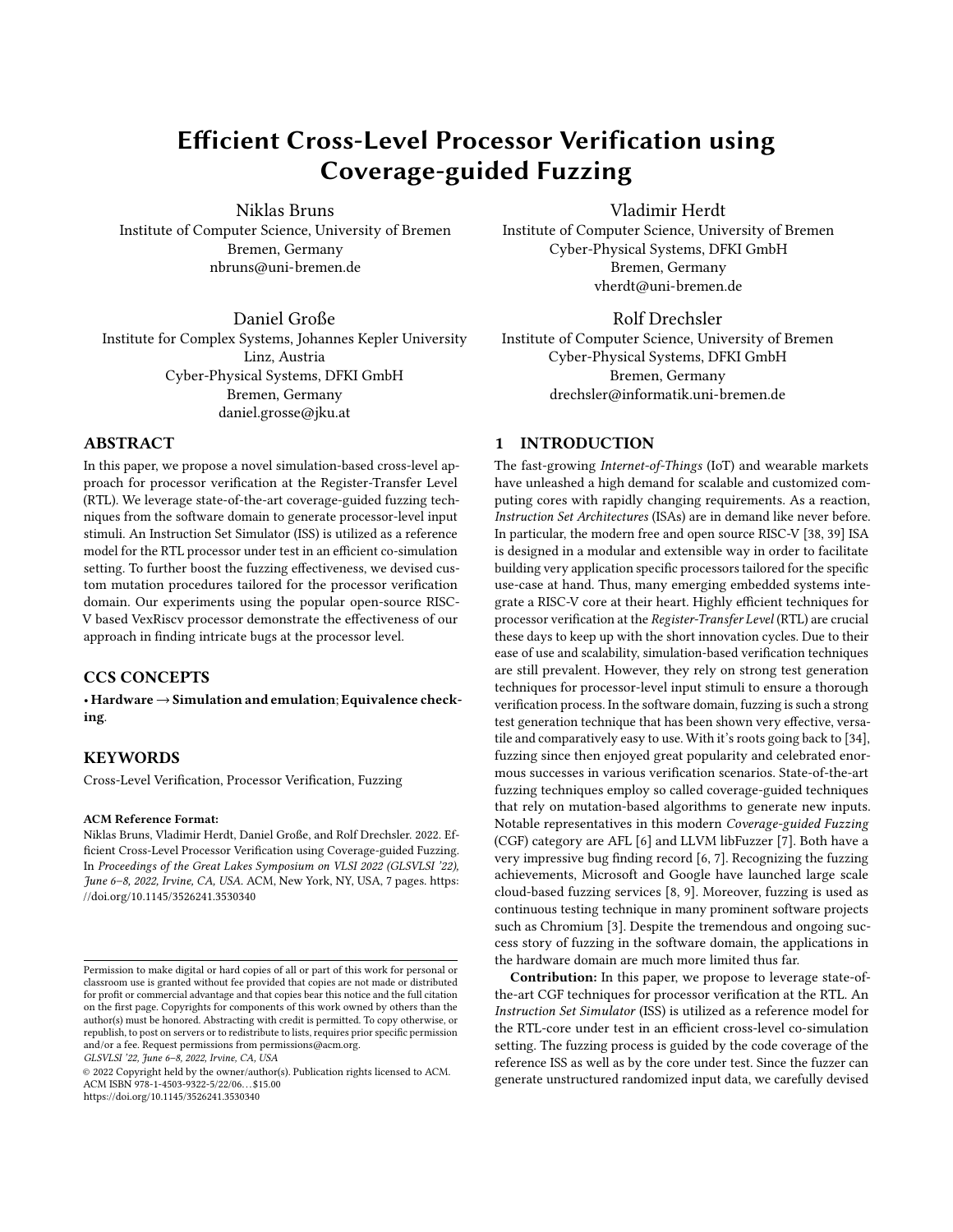# Efficient Cross-Level Processor Verification using Coverage-guided Fuzzing

Niklas Bruns

Institute of Computer Science, University of Bremen Bremen, Germany nbruns@uni-bremen.de

Daniel Große Institute for Complex Systems, Johannes Kepler University Linz, Austria Cyber-Physical Systems, DFKI GmbH Bremen, Germany daniel.grosse@jku.at

## ABSTRACT

In this paper, we propose a novel simulation-based cross-level approach for processor verification at the Register-Transfer Level (RTL). We leverage state-of-the-art coverage-guided fuzzing techniques from the software domain to generate processor-level input stimuli. An Instruction Set Simulator (ISS) is utilized as a reference model for the RTL processor under test in an efficient co-simulation setting. To further boost the fuzzing effectiveness, we devised custom mutation procedures tailored for the processor verification domain. Our experiments using the popular open-source RISC-V based VexRiscv processor demonstrate the effectiveness of our approach in finding intricate bugs at the processor level.

# CCS CONCEPTS

• Hardware→Simulation and emulation; Equivalence checking.

## **KEYWORDS**

Cross-Level Verification, Processor Verification, Fuzzing

#### ACM Reference Format:

Niklas Bruns, Vladimir Herdt, Daniel Große, and Rolf Drechsler. 2022. Efficient Cross-Level Processor Verification using Coverage-guided Fuzzing. In Proceedings of the Great Lakes Symposium on VLSI 2022 (GLSVLSI '22), June 6–8, 2022, Irvine, CA, USA. ACM, New York, NY, USA, [7](#page-6-0) pages. [https:](https://doi.org/10.1145/3526241.3530340) [//doi.org/10.1145/3526241.3530340](https://doi.org/10.1145/3526241.3530340)

GLSVLSI '22, June 6–8, 2022, Irvine, CA, USA

© 2022 Copyright held by the owner/author(s). Publication rights licensed to ACM. ACM ISBN 978-1-4503-9322-5/22/06. . . \$15.00 <https://doi.org/10.1145/3526241.3530340>

### Vladimir Herdt

Institute of Computer Science, University of Bremen Cyber-Physical Systems, DFKI GmbH Bremen, Germany vherdt@uni-bremen.de

# Rolf Drechsler Institute of Computer Science, University of Bremen

Cyber-Physical Systems, DFKI GmbH Bremen, Germany drechsler@informatik.uni-bremen.de

## 1 INTRODUCTION

The fast-growing Internet-of-Things (IoT) and wearable markets have unleashed a high demand for scalable and customized computing cores with rapidly changing requirements. As a reaction, Instruction Set Architectures (ISAs) are in demand like never before. In particular, the modern free and open source RISC-V [\[38,](#page-6-1) [39\]](#page-6-2) ISA is designed in a modular and extensible way in order to facilitate building very application specific processors tailored for the specific use-case at hand. Thus, many emerging embedded systems integrate a RISC-V core at their heart. Highly efficient techniques for processor verification at the Register-Transfer Level (RTL) are crucial these days to keep up with the short innovation cycles. Due to their ease of use and scalability, simulation-based verification techniques are still prevalent. However, they rely on strong test generation techniques for processor-level input stimuli to ensure a thorough verification process. In the software domain, fuzzing is such a strong test generation technique that has been shown very effective, versatile and comparatively easy to use. With it's roots going back to [\[34\]](#page-6-3), fuzzing since then enjoyed great popularity and celebrated enormous successes in various verification scenarios. State-of-the-art fuzzing techniques employ so called coverage-guided techniques that rely on mutation-based algorithms to generate new inputs. Notable representatives in this modern Coverage-guided Fuzzing (CGF) category are AFL [\[6\]](#page-6-4) and LLVM libFuzzer [\[7\]](#page-6-5). Both have a very impressive bug finding record [\[6,](#page-6-4) [7\]](#page-6-5). Recognizing the fuzzing achievements, Microsoft and Google have launched large scale cloud-based fuzzing services [\[8,](#page-6-6) [9\]](#page-6-7). Moreover, fuzzing is used as continuous testing technique in many prominent software projects such as Chromium [\[3\]](#page-6-8). Despite the tremendous and ongoing success story of fuzzing in the software domain, the applications in the hardware domain are much more limited thus far.

Contribution: In this paper, we propose to leverage state-ofthe-art CGF techniques for processor verification at the RTL. An Instruction Set Simulator (ISS) is utilized as a reference model for the RTL-core under test in an efficient cross-level co-simulation setting. The fuzzing process is guided by the code coverage of the reference ISS as well as by the core under test. Since the fuzzer can generate unstructured randomized input data, we carefully devised

Permission to make digital or hard copies of all or part of this work for personal or classroom use is granted without fee provided that copies are not made or distributed for profit or commercial advantage and that copies bear this notice and the full citation on the first page. Copyrights for components of this work owned by others than the author(s) must be honored. Abstracting with credit is permitted. To copy otherwise, or republish, to post on servers or to redistribute to lists, requires prior specific permission and/or a fee. Request permissions from permissions@acm.org.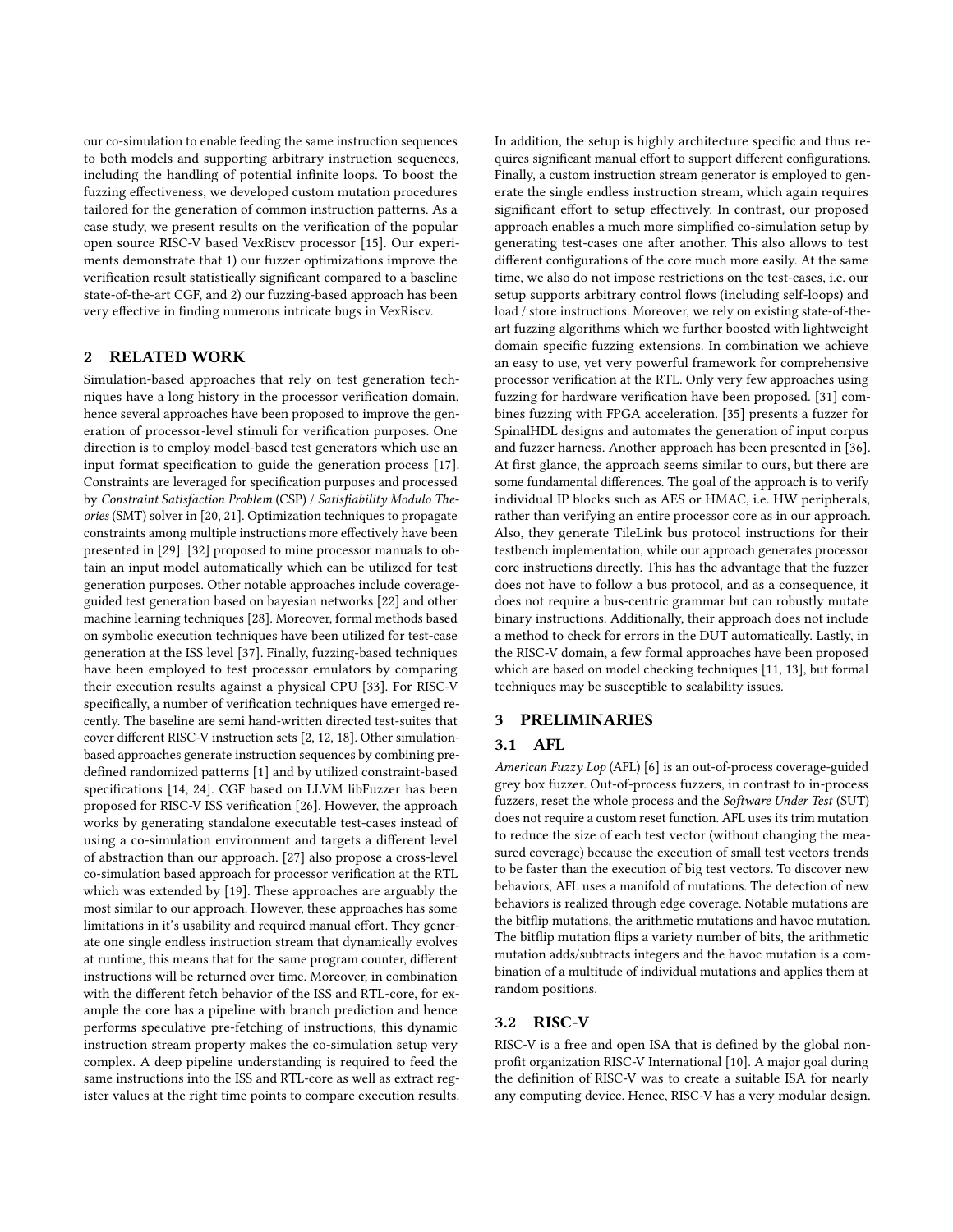our co-simulation to enable feeding the same instruction sequences to both models and supporting arbitrary instruction sequences, including the handling of potential infinite loops. To boost the fuzzing effectiveness, we developed custom mutation procedures tailored for the generation of common instruction patterns. As a case study, we present results on the verification of the popular open source RISC-V based VexRiscv processor [\[15\]](#page-6-9). Our experiments demonstrate that 1) our fuzzer optimizations improve the verification result statistically significant compared to a baseline state-of-the-art CGF, and 2) our fuzzing-based approach has been very effective in finding numerous intricate bugs in VexRiscv.

## 2 RELATED WORK

Simulation-based approaches that rely on test generation techniques have a long history in the processor verification domain, hence several approaches have been proposed to improve the generation of processor-level stimuli for verification purposes. One direction is to employ model-based test generators which use an input format specification to guide the generation process [\[17\]](#page-6-10). Constraints are leveraged for specification purposes and processed by Constraint Satisfaction Problem (CSP) / Satisfiability Modulo Theories (SMT) solver in [\[20,](#page-6-11) [21\]](#page-6-12). Optimization techniques to propagate constraints among multiple instructions more effectively have been presented in [\[29\]](#page-6-13). [\[32\]](#page-6-14) proposed to mine processor manuals to obtain an input model automatically which can be utilized for test generation purposes. Other notable approaches include coverageguided test generation based on bayesian networks [\[22\]](#page-6-15) and other machine learning techniques [\[28\]](#page-6-16). Moreover, formal methods based on symbolic execution techniques have been utilized for test-case generation at the ISS level [\[37\]](#page-6-17). Finally, fuzzing-based techniques have been employed to test processor emulators by comparing their execution results against a physical CPU [\[33\]](#page-6-18). For RISC-V specifically, a number of verification techniques have emerged recently. The baseline are semi hand-written directed test-suites that cover different RISC-V instruction sets [\[2,](#page-6-19) [12,](#page-6-20) [18\]](#page-6-21). Other simulationbased approaches generate instruction sequences by combining predefined randomized patterns [\[1\]](#page-6-22) and by utilized constraint-based specifications [\[14,](#page-6-23) [24\]](#page-6-24). CGF based on LLVM libFuzzer has been proposed for RISC-V ISS verification [\[26\]](#page-6-25). However, the approach works by generating standalone executable test-cases instead of using a co-simulation environment and targets a different level of abstraction than our approach. [\[27\]](#page-6-26) also propose a cross-level co-simulation based approach for processor verification at the RTL which was extended by [\[19\]](#page-6-27). These approaches are arguably the most similar to our approach. However, these approaches has some limitations in it's usability and required manual effort. They generate one single endless instruction stream that dynamically evolves at runtime, this means that for the same program counter, different instructions will be returned over time. Moreover, in combination with the different fetch behavior of the ISS and RTL-core, for example the core has a pipeline with branch prediction and hence performs speculative pre-fetching of instructions, this dynamic instruction stream property makes the co-simulation setup very complex. A deep pipeline understanding is required to feed the same instructions into the ISS and RTL-core as well as extract register values at the right time points to compare execution results.

In addition, the setup is highly architecture specific and thus requires significant manual effort to support different configurations. Finally, a custom instruction stream generator is employed to generate the single endless instruction stream, which again requires significant effort to setup effectively. In contrast, our proposed approach enables a much more simplified co-simulation setup by generating test-cases one after another. This also allows to test different configurations of the core much more easily. At the same time, we also do not impose restrictions on the test-cases, i.e. our setup supports arbitrary control flows (including self-loops) and load / store instructions. Moreover, we rely on existing state-of-theart fuzzing algorithms which we further boosted with lightweight domain specific fuzzing extensions. In combination we achieve an easy to use, yet very powerful framework for comprehensive processor verification at the RTL. Only very few approaches using fuzzing for hardware verification have been proposed. [\[31\]](#page-6-28) combines fuzzing with FPGA acceleration. [\[35\]](#page-6-29) presents a fuzzer for SpinalHDL designs and automates the generation of input corpus and fuzzer harness. Another approach has been presented in [\[36\]](#page-6-30). At first glance, the approach seems similar to ours, but there are some fundamental differences. The goal of the approach is to verify individual IP blocks such as AES or HMAC, i.e. HW peripherals, rather than verifying an entire processor core as in our approach. Also, they generate TileLink bus protocol instructions for their testbench implementation, while our approach generates processor core instructions directly. This has the advantage that the fuzzer does not have to follow a bus protocol, and as a consequence, it does not require a bus-centric grammar but can robustly mutate binary instructions. Additionally, their approach does not include a method to check for errors in the DUT automatically. Lastly, in the RISC-V domain, a few formal approaches have been proposed which are based on model checking techniques [\[11,](#page-6-31) [13\]](#page-6-32), but formal techniques may be susceptible to scalability issues.

# 3 PRELIMINARIES

## 3.1 AFL

American Fuzzy Lop (AFL) [\[6\]](#page-6-4) is an out-of-process coverage-guided grey box fuzzer. Out-of-process fuzzers, in contrast to in-process fuzzers, reset the whole process and the Software Under Test (SUT) does not require a custom reset function. AFL uses its trim mutation to reduce the size of each test vector (without changing the measured coverage) because the execution of small test vectors trends to be faster than the execution of big test vectors. To discover new behaviors, AFL uses a manifold of mutations. The detection of new behaviors is realized through edge coverage. Notable mutations are the bitflip mutations, the arithmetic mutations and havoc mutation. The bitflip mutation flips a variety number of bits, the arithmetic mutation adds/subtracts integers and the havoc mutation is a combination of a multitude of individual mutations and applies them at random positions.

#### 3.2 RISC-V

RISC-V is a free and open ISA that is defined by the global nonprofit organization RISC-V International [\[10\]](#page-6-33). A major goal during the definition of RISC-V was to create a suitable ISA for nearly any computing device. Hence, RISC-V has a very modular design.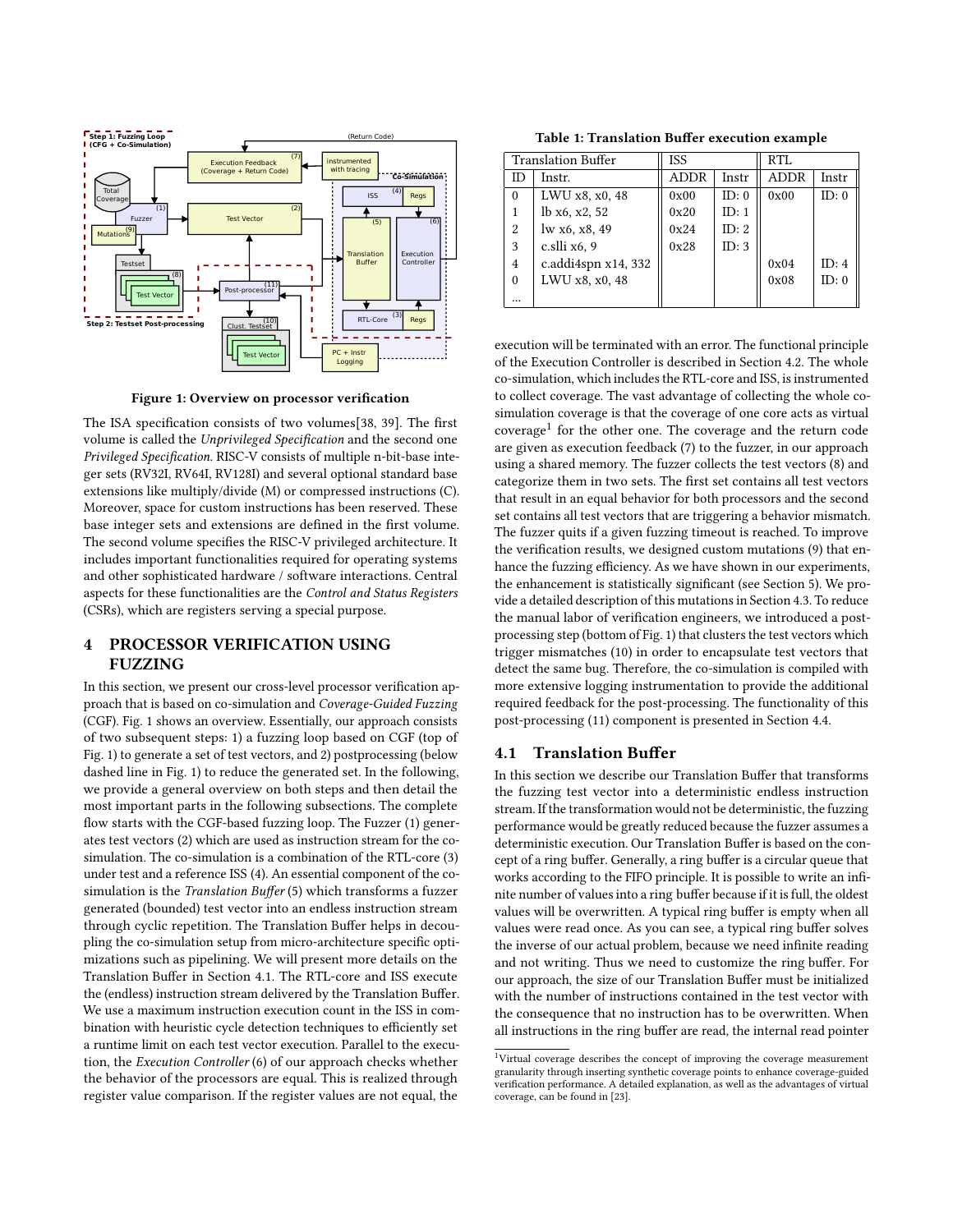<span id="page-2-0"></span>

Figure 1: Overview on processor verification

The ISA specification consists of two volumes[\[38,](#page-6-1) [39\]](#page-6-2). The first volume is called the Unprivileged Specification and the second one Privileged Specification. RISC-V consists of multiple n-bit-base integer sets (RV32I, RV64I, RV128I) and several optional standard base extensions like multiply/divide (M) or compressed instructions (C). Moreover, space for custom instructions has been reserved. These base integer sets and extensions are defined in the first volume. The second volume specifies the RISC-V privileged architecture. It includes important functionalities required for operating systems and other sophisticated hardware / software interactions. Central aspects for these functionalities are the Control and Status Registers (CSRs), which are registers serving a special purpose.

## 4 PROCESSOR VERIFICATION USING FUZZING

In this section, we present our cross-level processor verification approach that is based on co-simulation and Coverage-Guided Fuzzing (CGF). Fig. [1](#page-2-0) shows an overview. Essentially, our approach consists of two subsequent steps: 1) a fuzzing loop based on CGF (top of Fig. [1\)](#page-2-0) to generate a set of test vectors, and 2) postprocessing (below dashed line in Fig. [1\)](#page-2-0) to reduce the generated set. In the following, we provide a general overview on both steps and then detail the most important parts in the following subsections. The complete flow starts with the CGF-based fuzzing loop. The Fuzzer (1) generates test vectors (2) which are used as instruction stream for the cosimulation. The co-simulation is a combination of the RTL-core (3) under test and a reference ISS (4). An essential component of the cosimulation is the Translation Buffer (5) which transforms a fuzzer generated (bounded) test vector into an endless instruction stream through cyclic repetition. The Translation Buffer helps in decoupling the co-simulation setup from micro-architecture specific optimizations such as pipelining. We will present more details on the Translation Buffer in Section [4.1.](#page-2-1) The RTL-core and ISS execute the (endless) instruction stream delivered by the Translation Buffer. We use a maximum instruction execution count in the ISS in combination with heuristic cycle detection techniques to efficiently set a runtime limit on each test vector execution. Parallel to the execution, the Execution Controller (6) of our approach checks whether the behavior of the processors are equal. This is realized through register value comparison. If the register values are not equal, the

Table 1: Translation Buffer execution example

<span id="page-2-3"></span>

| <b>Translation Buffer</b> |                     | <b>ISS</b>  |       | RTL         |       |
|---------------------------|---------------------|-------------|-------|-------------|-------|
| <b>ID</b>                 | Instr.              | <b>ADDR</b> | Instr | <b>ADDR</b> | Instr |
| $\Omega$                  | LWU x8, x0, 48      | 0x00        | ID: 0 | 0x00        | ID: 0 |
| 1                         | lb x6, x2, 52       | 0x20        | ID: 1 |             |       |
| 2                         | lw x6, x8, 49       | 0x24        | ID: 2 |             |       |
| 3                         | c.slli x6, 9        | 0x28        | ID: 3 |             |       |
| $\overline{4}$            | c.addi4spn x14, 332 |             |       | 0x04        | ID: 4 |
| $\theta$                  | LWU x8, x0, 48      |             |       | 0x08        | ID: 0 |
|                           |                     |             |       |             |       |

execution will be terminated with an error. The functional principle of the Execution Controller is described in Section [4.2.](#page-3-0) The whole co-simulation, which includes the RTL-core and ISS, is instrumented to collect coverage. The vast advantage of collecting the whole cosimulation coverage is that the coverage of one core acts as virtual coverage<sup>[1](#page-2-2)</sup> for the other one. The coverage and the return code are given as execution feedback (7) to the fuzzer, in our approach using a shared memory. The fuzzer collects the test vectors (8) and categorize them in two sets. The first set contains all test vectors that result in an equal behavior for both processors and the second set contains all test vectors that are triggering a behavior mismatch. The fuzzer quits if a given fuzzing timeout is reached. To improve the verification results, we designed custom mutations (9) that enhance the fuzzing efficiency. As we have shown in our experiments, the enhancement is statistically significant (see Section [5\)](#page-4-0). We provide a detailed description of this mutations in Section [4.3.](#page-3-1) To reduce the manual labor of verification engineers, we introduced a postprocessing step (bottom of Fig. [1\)](#page-2-0) that clusters the test vectors which trigger mismatches (10) in order to encapsulate test vectors that detect the same bug. Therefore, the co-simulation is compiled with more extensive logging instrumentation to provide the additional required feedback for the post-processing. The functionality of this post-processing (11) component is presented in Section [4.4.](#page-4-1)

## <span id="page-2-1"></span>4.1 Translation Buffer

In this section we describe our Translation Buffer that transforms the fuzzing test vector into a deterministic endless instruction stream. If the transformation would not be deterministic, the fuzzing performance would be greatly reduced because the fuzzer assumes a deterministic execution. Our Translation Buffer is based on the concept of a ring buffer. Generally, a ring buffer is a circular queue that works according to the FIFO principle. It is possible to write an infinite number of values into a ring buffer because if it is full, the oldest values will be overwritten. A typical ring buffer is empty when all values were read once. As you can see, a typical ring buffer solves the inverse of our actual problem, because we need infinite reading and not writing. Thus we need to customize the ring buffer. For our approach, the size of our Translation Buffer must be initialized with the number of instructions contained in the test vector with the consequence that no instruction has to be overwritten. When all instructions in the ring buffer are read, the internal read pointer

<span id="page-2-2"></span> $^{\rm 1}$ Virtual coverage describes the concept of improving the coverage measurement granularity through inserting synthetic coverage points to enhance coverage-guided verification performance. A detailed explanation, as well as the advantages of virtual coverage, can be found in [\[23\]](#page-6-34).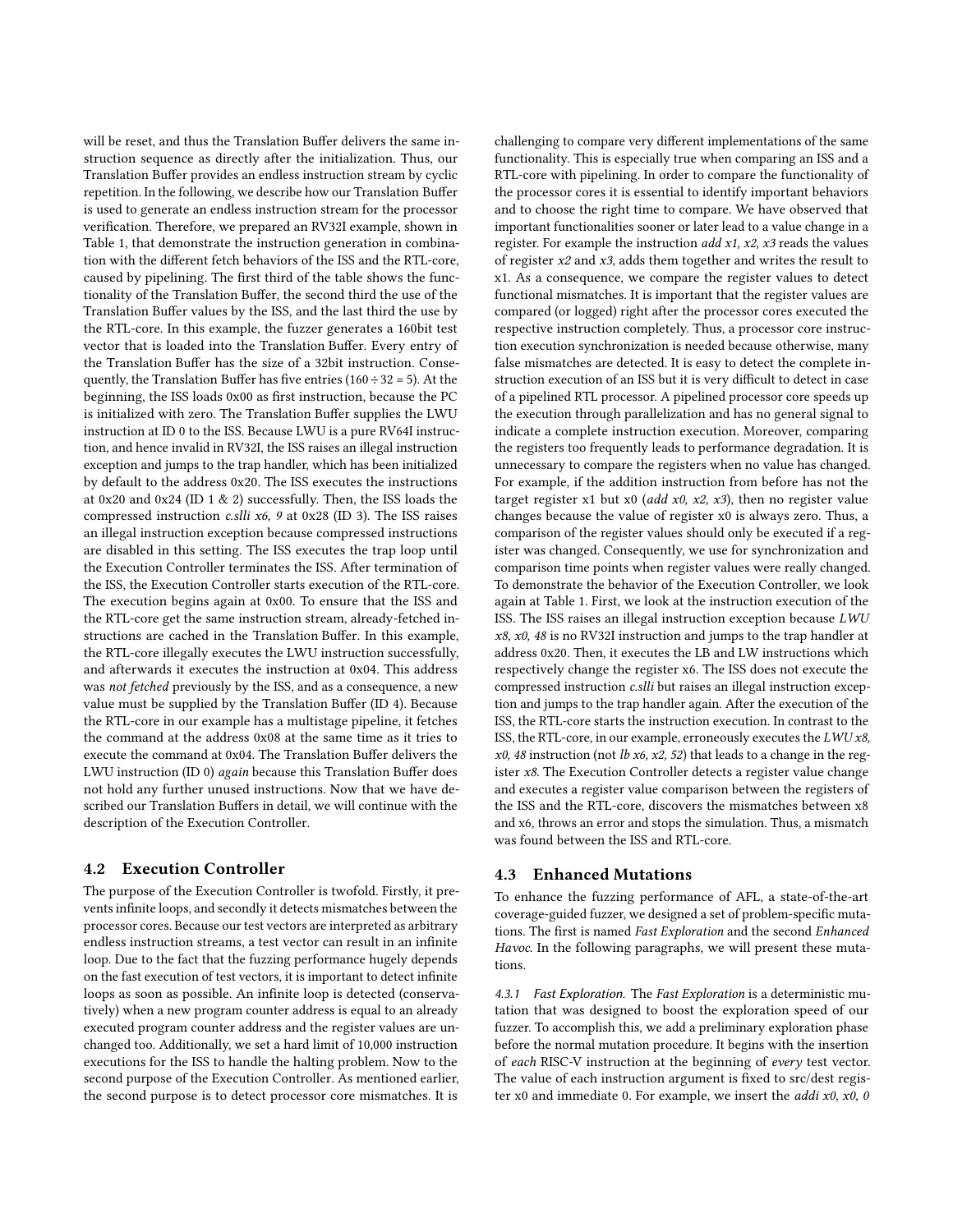will be reset, and thus the Translation Buffer delivers the same instruction sequence as directly after the initialization. Thus, our Translation Buffer provides an endless instruction stream by cyclic repetition. In the following, we describe how our Translation Buffer is used to generate an endless instruction stream for the processor verification. Therefore, we prepared an RV32I example, shown in Table [1,](#page-2-3) that demonstrate the instruction generation in combination with the different fetch behaviors of the ISS and the RTL-core, caused by pipelining. The first third of the table shows the functionality of the Translation Buffer, the second third the use of the Translation Buffer values by the ISS, and the last third the use by the RTL-core. In this example, the fuzzer generates a 160bit test vector that is loaded into the Translation Buffer. Every entry of the Translation Buffer has the size of a 32bit instruction. Consequently, the Translation Buffer has five entries (160  $\div$  32 = 5). At the beginning, the ISS loads 0x00 as first instruction, because the PC is initialized with zero. The Translation Buffer supplies the LWU instruction at ID 0 to the ISS. Because LWU is a pure RV64I instruction, and hence invalid in RV32I, the ISS raises an illegal instruction exception and jumps to the trap handler, which has been initialized by default to the address 0x20. The ISS executes the instructions at 0x20 and 0x24 (ID 1 & 2) successfully. Then, the ISS loads the compressed instruction *c.slli x6*, 9 at 0x28 (ID 3). The ISS raises an illegal instruction exception because compressed instructions are disabled in this setting. The ISS executes the trap loop until the Execution Controller terminates the ISS. After termination of the ISS, the Execution Controller starts execution of the RTL-core. The execution begins again at 0x00. To ensure that the ISS and the RTL-core get the same instruction stream, already-fetched instructions are cached in the Translation Buffer. In this example, the RTL-core illegally executes the LWU instruction successfully, and afterwards it executes the instruction at 0x04. This address was not fetched previously by the ISS, and as a consequence, a new value must be supplied by the Translation Buffer (ID 4). Because the RTL-core in our example has a multistage pipeline, it fetches the command at the address 0x08 at the same time as it tries to execute the command at 0x04. The Translation Buffer delivers the LWU instruction (ID 0) again because this Translation Buffer does not hold any further unused instructions. Now that we have described our Translation Buffers in detail, we will continue with the description of the Execution Controller.

### <span id="page-3-0"></span>4.2 Execution Controller

The purpose of the Execution Controller is twofold. Firstly, it prevents infinite loops, and secondly it detects mismatches between the processor cores. Because our test vectors are interpreted as arbitrary endless instruction streams, a test vector can result in an infinite loop. Due to the fact that the fuzzing performance hugely depends on the fast execution of test vectors, it is important to detect infinite loops as soon as possible. An infinite loop is detected (conservatively) when a new program counter address is equal to an already executed program counter address and the register values are unchanged too. Additionally, we set a hard limit of 10,000 instruction executions for the ISS to handle the halting problem. Now to the second purpose of the Execution Controller. As mentioned earlier, the second purpose is to detect processor core mismatches. It is

challenging to compare very different implementations of the same functionality. This is especially true when comparing an ISS and a RTL-core with pipelining. In order to compare the functionality of the processor cores it is essential to identify important behaviors and to choose the right time to compare. We have observed that important functionalities sooner or later lead to a value change in a register. For example the instruction  $add x1, x2, x3$  reads the values of register x2 and x3, adds them together and writes the result to x1. As a consequence, we compare the register values to detect functional mismatches. It is important that the register values are compared (or logged) right after the processor cores executed the respective instruction completely. Thus, a processor core instruction execution synchronization is needed because otherwise, many false mismatches are detected. It is easy to detect the complete instruction execution of an ISS but it is very difficult to detect in case of a pipelined RTL processor. A pipelined processor core speeds up the execution through parallelization and has no general signal to indicate a complete instruction execution. Moreover, comparing the registers too frequently leads to performance degradation. It is unnecessary to compare the registers when no value has changed. For example, if the addition instruction from before has not the target register x1 but x0 (*add x0, x2, x3*), then no register value changes because the value of register x0 is always zero. Thus, a comparison of the register values should only be executed if a register was changed. Consequently, we use for synchronization and comparison time points when register values were really changed. To demonstrate the behavior of the Execution Controller, we look again at Table [1.](#page-2-3) First, we look at the instruction execution of the ISS. The ISS raises an illegal instruction exception because LWU  $x8$ ,  $x0$ , 48 is no RV32I instruction and jumps to the trap handler at address 0x20. Then, it executes the LB and LW instructions which respectively change the register x6. The ISS does not execute the compressed instruction c.slli but raises an illegal instruction exception and jumps to the trap handler again. After the execution of the ISS, the RTL-core starts the instruction execution. In contrast to the ISS, the RTL-core, in our example, erroneously executes the LWU x8,  $x0$ , 48 instruction (not *lb x6*, x2, 52) that leads to a change in the register x8. The Execution Controller detects a register value change and executes a register value comparison between the registers of the ISS and the RTL-core, discovers the mismatches between x8 and x6, throws an error and stops the simulation. Thus, a mismatch was found between the ISS and RTL-core.

## <span id="page-3-1"></span>4.3 Enhanced Mutations

To enhance the fuzzing performance of AFL, a state-of-the-art coverage-guided fuzzer, we designed a set of problem-specific mutations. The first is named Fast Exploration and the second Enhanced Havoc. In the following paragraphs, we will present these mutations.

4.3.1 Fast Exploration. The Fast Exploration is a deterministic mutation that was designed to boost the exploration speed of our fuzzer. To accomplish this, we add a preliminary exploration phase before the normal mutation procedure. It begins with the insertion of each RISC-V instruction at the beginning of every test vector. The value of each instruction argument is fixed to src/dest register x0 and immediate 0. For example, we insert the *addi x0, x0, 0*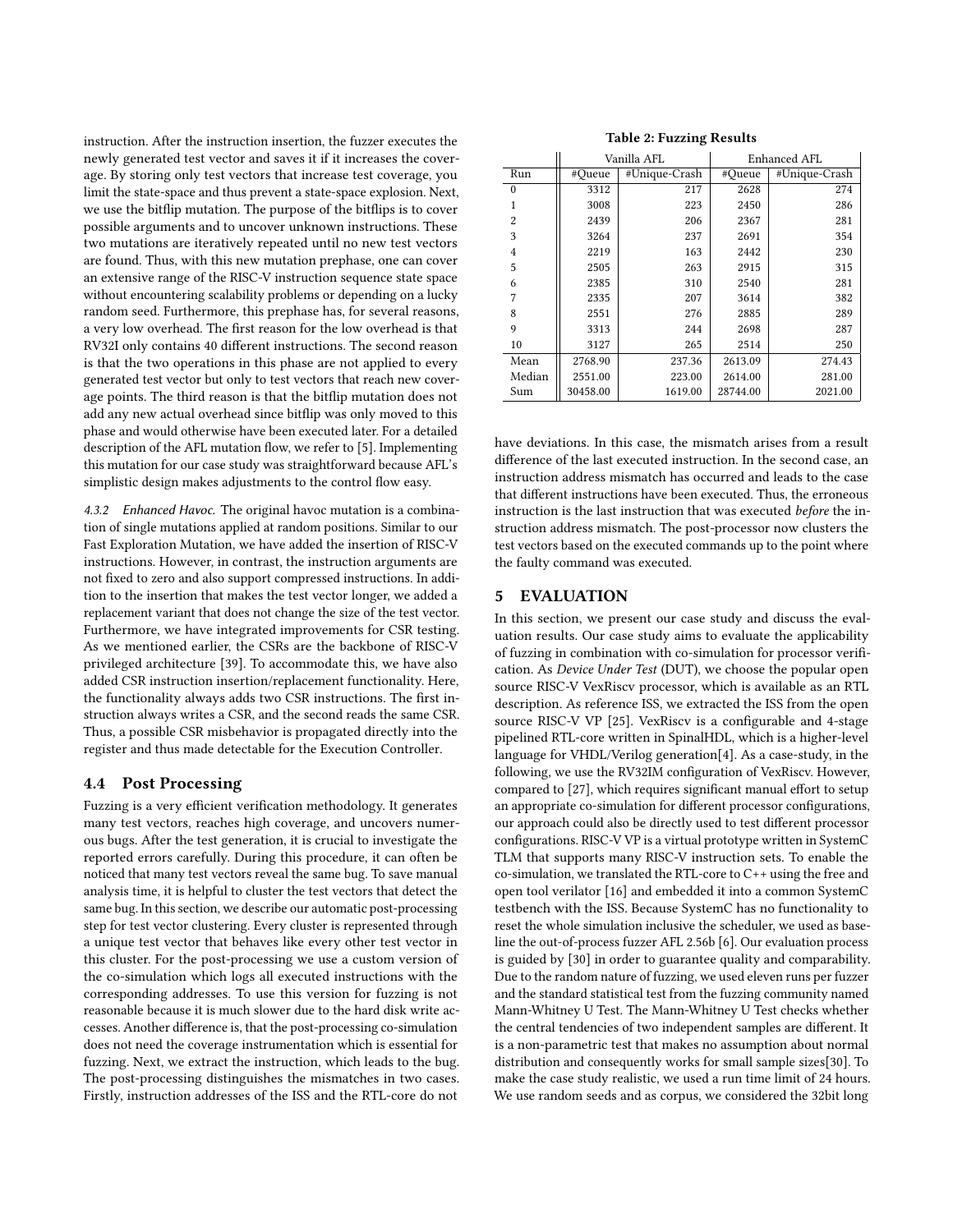instruction. After the instruction insertion, the fuzzer executes the newly generated test vector and saves it if it increases the coverage. By storing only test vectors that increase test coverage, you limit the state-space and thus prevent a state-space explosion. Next, we use the bitflip mutation. The purpose of the bitflips is to cover possible arguments and to uncover unknown instructions. These two mutations are iteratively repeated until no new test vectors are found. Thus, with this new mutation prephase, one can cover an extensive range of the RISC-V instruction sequence state space without encountering scalability problems or depending on a lucky random seed. Furthermore, this prephase has, for several reasons, a very low overhead. The first reason for the low overhead is that RV32I only contains 40 different instructions. The second reason is that the two operations in this phase are not applied to every generated test vector but only to test vectors that reach new coverage points. The third reason is that the bitflip mutation does not add any new actual overhead since bitflip was only moved to this phase and would otherwise have been executed later. For a detailed description of the AFL mutation flow, we refer to [\[5\]](#page-6-35). Implementing this mutation for our case study was straightforward because AFL's simplistic design makes adjustments to the control flow easy.

4.3.2 Enhanced Havoc. The original havoc mutation is a combination of single mutations applied at random positions. Similar to our Fast Exploration Mutation, we have added the insertion of RISC-V instructions. However, in contrast, the instruction arguments are not fixed to zero and also support compressed instructions. In addition to the insertion that makes the test vector longer, we added a replacement variant that does not change the size of the test vector. Furthermore, we have integrated improvements for CSR testing. As we mentioned earlier, the CSRs are the backbone of RISC-V privileged architecture [\[39\]](#page-6-2). To accommodate this, we have also added CSR instruction insertion/replacement functionality. Here, the functionality always adds two CSR instructions. The first instruction always writes a CSR, and the second reads the same CSR. Thus, a possible CSR misbehavior is propagated directly into the register and thus made detectable for the Execution Controller.

### <span id="page-4-1"></span>4.4 Post Processing

Fuzzing is a very efficient verification methodology. It generates many test vectors, reaches high coverage, and uncovers numerous bugs. After the test generation, it is crucial to investigate the reported errors carefully. During this procedure, it can often be noticed that many test vectors reveal the same bug. To save manual analysis time, it is helpful to cluster the test vectors that detect the same bug. In this section, we describe our automatic post-processing step for test vector clustering. Every cluster is represented through a unique test vector that behaves like every other test vector in this cluster. For the post-processing we use a custom version of the co-simulation which logs all executed instructions with the corresponding addresses. To use this version for fuzzing is not reasonable because it is much slower due to the hard disk write accesses. Another difference is, that the post-processing co-simulation does not need the coverage instrumentation which is essential for fuzzing. Next, we extract the instruction, which leads to the bug. The post-processing distinguishes the mismatches in two cases. Firstly, instruction addresses of the ISS and the RTL-core do not

#### Table 2: Fuzzing Results

<span id="page-4-2"></span>

|          | Vanilla AFL |               | Enhanced AFL |               |
|----------|-------------|---------------|--------------|---------------|
| Run      | #Oueue      | #Unique-Crash | #Queue       | #Unique-Crash |
| $\theta$ | 3312        | 217           | 2628         | 274           |
| 1        | 3008        | 223           | 2450         | 286           |
| 2        | 2439        | 206           | 2367         | 281           |
| 3        | 3264        | 237           | 2691         | 354           |
| 4        | 2219        | 163           | 2442         | 230           |
| 5        | 2505        | 263           | 2915         | 315           |
| 6        | 2385        | 310           | 2540         | 281           |
| 7        | 2335        | 207           | 3614         | 382           |
| 8        | 2551        | 276           | 2885         | 289           |
| 9        | 3313        | 244           | 2698         | 287           |
| 10       | 3127        | 265           | 2514         | 250           |
| Mean     | 2768.90     | 237.36        | 2613.09      | 274.43        |
| Median   | 2551.00     | 223.00        | 2614.00      | 281.00        |
| Sum      | 30458.00    | 1619.00       | 28744.00     | 2021.00       |

have deviations. In this case, the mismatch arises from a result difference of the last executed instruction. In the second case, an instruction address mismatch has occurred and leads to the case that different instructions have been executed. Thus, the erroneous instruction is the last instruction that was executed before the instruction address mismatch. The post-processor now clusters the test vectors based on the executed commands up to the point where the faulty command was executed.

#### <span id="page-4-0"></span>5 EVALUATION

In this section, we present our case study and discuss the evaluation results. Our case study aims to evaluate the applicability of fuzzing in combination with co-simulation for processor verification. As Device Under Test (DUT), we choose the popular open source RISC-V VexRiscv processor, which is available as an RTL description. As reference ISS, we extracted the ISS from the open source RISC-V VP [\[25\]](#page-6-36). VexRiscv is a configurable and 4-stage pipelined RTL-core written in SpinalHDL, which is a higher-level language for VHDL/Verilog generation[\[4\]](#page-6-37). As a case-study, in the following, we use the RV32IM configuration of VexRiscv. However, compared to [\[27\]](#page-6-26), which requires significant manual effort to setup an appropriate co-simulation for different processor configurations, our approach could also be directly used to test different processor configurations. RISC-V VP is a virtual prototype written in SystemC TLM that supports many RISC-V instruction sets. To enable the co-simulation, we translated the RTL-core to C++ using the free and open tool verilator [\[16\]](#page-6-38) and embedded it into a common SystemC testbench with the ISS. Because SystemC has no functionality to reset the whole simulation inclusive the scheduler, we used as baseline the out-of-process fuzzer AFL 2.56b [\[6\]](#page-6-4). Our evaluation process is guided by [\[30\]](#page-6-39) in order to guarantee quality and comparability. Due to the random nature of fuzzing, we used eleven runs per fuzzer and the standard statistical test from the fuzzing community named Mann-Whitney U Test. The Mann-Whitney U Test checks whether the central tendencies of two independent samples are different. It is a non-parametric test that makes no assumption about normal distribution and consequently works for small sample sizes[\[30\]](#page-6-39). To make the case study realistic, we used a run time limit of 24 hours. We use random seeds and as corpus, we considered the 32bit long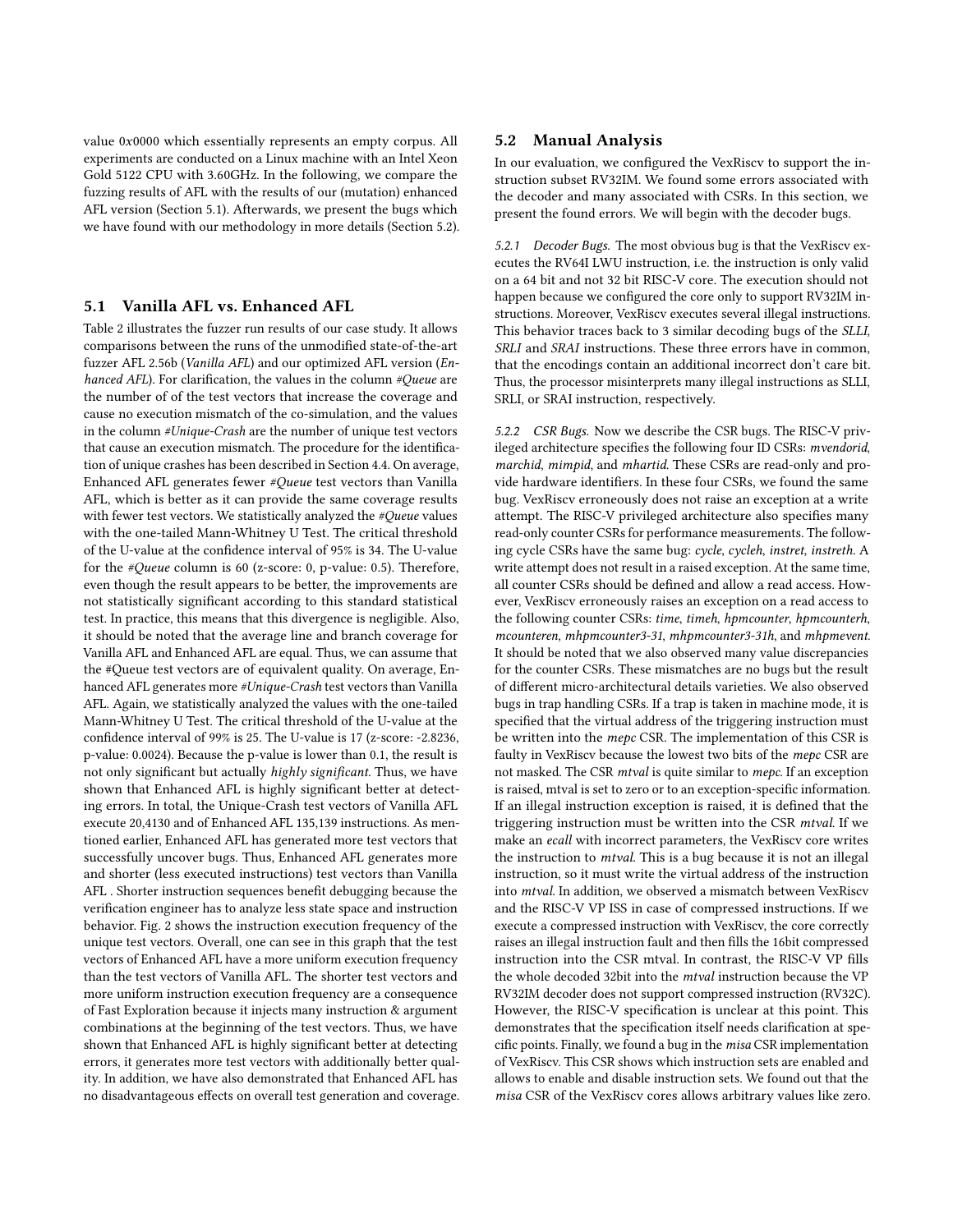value  $0x0000$  which essentially represents an empty corpus. All experiments are conducted on a Linux machine with an Intel Xeon Gold 5122 CPU with 3.60GHz. In the following, we compare the fuzzing results of AFL with the results of our (mutation) enhanced AFL version (Section [5.1\)](#page-5-0). Afterwards, we present the bugs which we have found with our methodology in more details (Section [5.2\)](#page-5-1).

#### <span id="page-5-0"></span>5.1 Vanilla AFL vs. Enhanced AFL

Table [2](#page-4-2) illustrates the fuzzer run results of our case study. It allows comparisons between the runs of the unmodified state-of-the-art fuzzer AFL 2.56b (Vanilla AFL) and our optimized AFL version (Enhanced AFL). For clarification, the values in the column #Queue are the number of of the test vectors that increase the coverage and cause no execution mismatch of the co-simulation, and the values in the column #Unique-Crash are the number of unique test vectors that cause an execution mismatch. The procedure for the identification of unique crashes has been described in Section [4.4.](#page-4-1) On average, Enhanced AFL generates fewer #Queue test vectors than Vanilla AFL, which is better as it can provide the same coverage results with fewer test vectors. We statistically analyzed the #Queue values with the one-tailed Mann-Whitney U Test. The critical threshold of the U-value at the confidence interval of 95% is 34. The U-value for the #Queue column is 60 (z-score: 0, p-value: 0.5). Therefore, even though the result appears to be better, the improvements are not statistically significant according to this standard statistical test. In practice, this means that this divergence is negligible. Also, it should be noted that the average line and branch coverage for Vanilla AFL and Enhanced AFL are equal. Thus, we can assume that the #Queue test vectors are of equivalent quality. On average, Enhanced AFL generates more #Unique-Crash test vectors than Vanilla AFL. Again, we statistically analyzed the values with the one-tailed Mann-Whitney U Test. The critical threshold of the U-value at the confidence interval of 99% is 25. The U-value is 17 (z-score: -2.8236, p-value: 0.0024). Because the p-value is lower than 0.1, the result is not only significant but actually highly significant. Thus, we have shown that Enhanced AFL is highly significant better at detecting errors. In total, the Unique-Crash test vectors of Vanilla AFL execute 20,4130 and of Enhanced AFL 135,139 instructions. As mentioned earlier, Enhanced AFL has generated more test vectors that successfully uncover bugs. Thus, Enhanced AFL generates more and shorter (less executed instructions) test vectors than Vanilla AFL . Shorter instruction sequences benefit debugging because the verification engineer has to analyze less state space and instruction behavior. Fig. [2](#page-6-40) shows the instruction execution frequency of the unique test vectors. Overall, one can see in this graph that the test vectors of Enhanced AFL have a more uniform execution frequency than the test vectors of Vanilla AFL. The shorter test vectors and more uniform instruction execution frequency are a consequence of Fast Exploration because it injects many instruction & argument combinations at the beginning of the test vectors. Thus, we have shown that Enhanced AFL is highly significant better at detecting errors, it generates more test vectors with additionally better quality. In addition, we have also demonstrated that Enhanced AFL has no disadvantageous effects on overall test generation and coverage.

#### <span id="page-5-1"></span>5.2 Manual Analysis

In our evaluation, we configured the VexRiscv to support the instruction subset RV32IM. We found some errors associated with the decoder and many associated with CSRs. In this section, we present the found errors. We will begin with the decoder bugs.

5.2.1 Decoder Bugs. The most obvious bug is that the VexRiscv executes the RV64I LWU instruction, i.e. the instruction is only valid on a 64 bit and not 32 bit RISC-V core. The execution should not happen because we configured the core only to support RV32IM instructions. Moreover, VexRiscv executes several illegal instructions. This behavior traces back to 3 similar decoding bugs of the SLLI, SRLI and SRAI instructions. These three errors have in common, that the encodings contain an additional incorrect don't care bit. Thus, the processor misinterprets many illegal instructions as SLLI, SRLI, or SRAI instruction, respectively.

5.2.2 CSR Bugs. Now we describe the CSR bugs. The RISC-V privileged architecture specifies the following four ID CSRs: mvendorid, marchid, mimpid, and mhartid. These CSRs are read-only and provide hardware identifiers. In these four CSRs, we found the same bug. VexRiscv erroneously does not raise an exception at a write attempt. The RISC-V privileged architecture also specifies many read-only counter CSRs for performance measurements. The following cycle CSRs have the same bug: cycle, cycleh, instret, instreth. A write attempt does not result in a raised exception. At the same time, all counter CSRs should be defined and allow a read access. However, VexRiscv erroneously raises an exception on a read access to the following counter CSRs: time, timeh, hpmcounter, hpmcounterh, mcounteren, mhpmcounter3-31, mhpmcounter3-31h, and mhpmevent. It should be noted that we also observed many value discrepancies for the counter CSRs. These mismatches are no bugs but the result of different micro-architectural details varieties. We also observed bugs in trap handling CSRs. If a trap is taken in machine mode, it is specified that the virtual address of the triggering instruction must be written into the mepc CSR. The implementation of this CSR is faulty in VexRiscv because the lowest two bits of the mepc CSR are not masked. The CSR mtval is quite similar to mepc. If an exception is raised, mtval is set to zero or to an exception-specific information. If an illegal instruction exception is raised, it is defined that the triggering instruction must be written into the CSR mtval. If we make an ecall with incorrect parameters, the VexRiscv core writes the instruction to mtval. This is a bug because it is not an illegal instruction, so it must write the virtual address of the instruction into mtval. In addition, we observed a mismatch between VexRiscv and the RISC-V VP ISS in case of compressed instructions. If we execute a compressed instruction with VexRiscv, the core correctly raises an illegal instruction fault and then fills the 16bit compressed instruction into the CSR mtval. In contrast, the RISC-V VP fills the whole decoded 32bit into the mtval instruction because the VP RV32IM decoder does not support compressed instruction (RV32C). However, the RISC-V specification is unclear at this point. This demonstrates that the specification itself needs clarification at specific points. Finally, we found a bug in the misa CSR implementation of VexRiscv. This CSR shows which instruction sets are enabled and allows to enable and disable instruction sets. We found out that the misa CSR of the VexRiscv cores allows arbitrary values like zero.